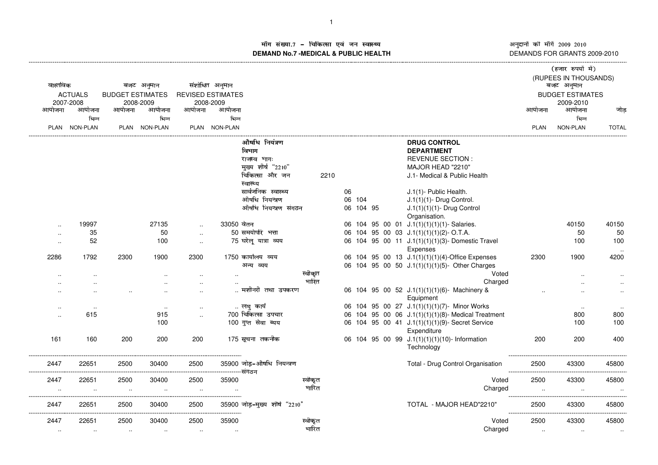अनुदानों की माँगें 2009–2010<br>DEMANDS FOR GRANTS 2009-2010

## ाँग संख्या.7 – चिकित्सा एवं जन स्वास्थ्य स्थान कर संस्था पर संस्था आर्यो अ **DEMAND No.7 -MEDICAL & PUBLIC HEALTH**----------------------------------------------------------------------------------------------------------------------------------------------------------------------------------------------------------------------------------------------------------------------------

|                      |                             |        |                                      |           |                                       |                                            |         |      |        |           |  |                                                                | (हजार रुपयों में) |                                      |              |  |  |
|----------------------|-----------------------------|--------|--------------------------------------|-----------|---------------------------------------|--------------------------------------------|---------|------|--------|-----------|--|----------------------------------------------------------------|-------------------|--------------------------------------|--------------|--|--|
| वास्तविक             |                             |        | बजट अनुमान                           |           | संशोधित अनुमान                        |                                            |         |      |        |           |  |                                                                |                   | (RUPEES IN THOUSANDS)<br>बजट अनुमान  |              |  |  |
|                      | <b>ACTUALS</b><br>2007-2008 |        | <b>BUDGET ESTIMATES</b><br>2008-2009 |           | <b>REVISED ESTIMATES</b><br>2008-2009 |                                            |         |      |        |           |  |                                                                |                   | <b>BUDGET ESTIMATES</b><br>2009-2010 |              |  |  |
| आयोजना               | आयोजना                      | आयोजना | आयोजना                               | आयोजना    | आयोजना                                |                                            |         |      |        |           |  |                                                                | आयोजना            | आयोजना                               | जोड          |  |  |
|                      | भिन्न                       |        | भिन्न                                |           | भिन्न                                 |                                            |         |      |        |           |  |                                                                |                   | भिन्न                                |              |  |  |
|                      | PLAN NON-PLAN               |        | PLAN NON-PLAN                        |           | PLAN NON-PLAN                         |                                            |         |      |        |           |  |                                                                | <b>PLAN</b>       | NON-PLAN                             | <b>TOTAL</b> |  |  |
|                      |                             |        |                                      |           |                                       | औषधि नियंत्रण                              |         |      |        |           |  | <b>DRUG CONTROL</b>                                            |                   |                                      |              |  |  |
|                      |                             |        |                                      |           |                                       | विभाग                                      |         |      |        |           |  | <b>DEPARTMENT</b>                                              |                   |                                      |              |  |  |
|                      |                             |        |                                      |           |                                       | राजस्व भागः                                |         |      |        |           |  | <b>REVENUE SECTION:</b>                                        |                   |                                      |              |  |  |
|                      |                             |        |                                      |           |                                       | मुख्य शीर्ष "2210"                         |         |      |        |           |  | MAJOR HEAD "2210"                                              |                   |                                      |              |  |  |
|                      |                             |        |                                      |           |                                       | चिकित्सा और जन<br>स्वास्थ्य                |         | 2210 |        |           |  | J.1- Medical & Public Health                                   |                   |                                      |              |  |  |
|                      |                             |        |                                      |           |                                       | सार्वजनिक स्वास्थ्य                        |         |      | 06     |           |  | J.1(1)- Public Health.                                         |                   |                                      |              |  |  |
|                      |                             |        |                                      |           |                                       | औषधि नियन्त्रण                             |         |      | 06 104 |           |  | $J.1(1)(1)$ - Drug Control.                                    |                   |                                      |              |  |  |
|                      |                             |        |                                      |           |                                       | औषधि नियन्त्रण संगठन                       |         |      |        | 06 104 95 |  | J.1(1)(1)(1)- Drug Control<br>Organisation.                    |                   |                                      |              |  |  |
| ٠.                   | 19997                       |        | 27135                                |           | 33050 वेतन                            |                                            |         |      |        |           |  | 06 104 95 00 01 J.1(1)(1)(1)(1)-Salaries.                      |                   | 40150                                | 40150        |  |  |
| $\cdot$ .            | 35                          |        | 50                                   | $\cdot$ . |                                       | 50 समयोपरि भत्ता                           |         |      |        |           |  | 06 104 95 00 03 J.1(1)(1)(1)(2)-O.T.A.                         |                   | 50                                   | 50           |  |  |
| $\cdot$ .            | 52                          |        | 100                                  | $\ddotsc$ |                                       | 75 घरेलू यात्रा व्यय                       |         |      |        |           |  | 06 104 95 00 11 J.1(1)(1)(1)(3)- Domestic Travel<br>Expenses   |                   | 100                                  | 100          |  |  |
| 2286                 | 1792                        | 2300   | 1900                                 | 2300      |                                       | 1750 कार्यालय व्यय                         |         |      |        |           |  | 06 104 95 00 13 J.1(1)(1)(1)(4)-Office Expenses                | 2300              | 1900                                 | 4200         |  |  |
|                      |                             |        |                                      |           |                                       | अन्य व्यय                                  |         |      |        |           |  | 06 104 95 00 50 J.1(1)(1)(1)(5)- Other Charges                 |                   |                                      |              |  |  |
|                      |                             |        |                                      |           |                                       |                                            | स्वीकृत |      |        |           |  | Voted                                                          |                   |                                      |              |  |  |
|                      |                             |        |                                      |           |                                       |                                            | भारित   |      |        |           |  | Charged                                                        |                   |                                      | $\ddotsc$    |  |  |
|                      |                             |        |                                      | $\cdot$ . |                                       | मशीनरी तथा उपकरण                           |         |      |        |           |  | 06 104 95 00 52 J.1(1)(1)(1)(6)- Machinery &<br>Equipment      |                   |                                      | $\ddotsc$    |  |  |
| $\cdot$ .            | $\cdots$                    |        | $\ddotsc$                            |           |                                       | लघु कार्य                                  |         |      |        |           |  | 06 104 95 00 27 J.1(1)(1)(1)(7)- Minor Works                   |                   | $\sim$                               | $\cdot$ .    |  |  |
| $\ddot{\phantom{a}}$ | 615                         |        | 915                                  | $\cdot$ . |                                       | 700 चिकित्सा उपचार                         |         |      |        |           |  | 06 104 95 00 06 J.1(1)(1)(1)(8)- Medical Treatment             |                   | 800                                  | 800          |  |  |
|                      |                             |        | 100                                  |           |                                       | 100 गुप्त सेवा ब्यय                        |         |      |        |           |  | 06 104 95 00 41 J.1(1)(1)(1)(9)- Secret Service<br>Expenditure |                   | 100                                  | 100          |  |  |
| 161                  | 160                         | 200    | 200                                  | 200       |                                       | 175 सूचना तकनीक                            |         |      |        |           |  | 06 104 95 00 99 J.1(1)(1)(1)(10)- Information<br>Technology    | 200               | 200                                  | 400          |  |  |
| 2447                 | 22651                       | 2500   | 30400                                | 2500      |                                       | 35900 जोड़-औषधि नियन्त्रण<br>--------संगठन |         |      |        |           |  | Total - Drug Control Organisation                              | 2500              | 43300                                | 45800        |  |  |
| 2447                 | 22651                       | 2500   | 30400                                | 2500      | 35900                                 |                                            | स्वीकृत |      |        |           |  | Voted                                                          | 2500              | 43300                                | 45800        |  |  |
| $\ddotsc$            |                             |        |                                      | $\ddotsc$ |                                       |                                            | भारित   |      |        |           |  | Charged                                                        | $\cdot$ .         |                                      | $\ddotsc$    |  |  |
| 2447                 | 22651                       | 2500   | 30400                                | 2500      | ------------                          | 35900 जोड़-मुख्य शीर्ष "2210"              |         |      |        |           |  | TOTAL - MAJOR HEAD"2210"                                       | 2500              | 43300                                | 45800        |  |  |
| 2447                 | 22651                       | 2500   | 30400                                | 2500      | 35900                                 |                                            | स्वीकृत |      |        |           |  | Voted                                                          | 2500              | 43300                                | 45800        |  |  |
| $\cdot$ .            |                             |        |                                      |           |                                       |                                            | भारित   |      |        |           |  | Charged                                                        |                   |                                      |              |  |  |
|                      |                             |        |                                      |           |                                       |                                            |         |      |        |           |  |                                                                |                   |                                      |              |  |  |